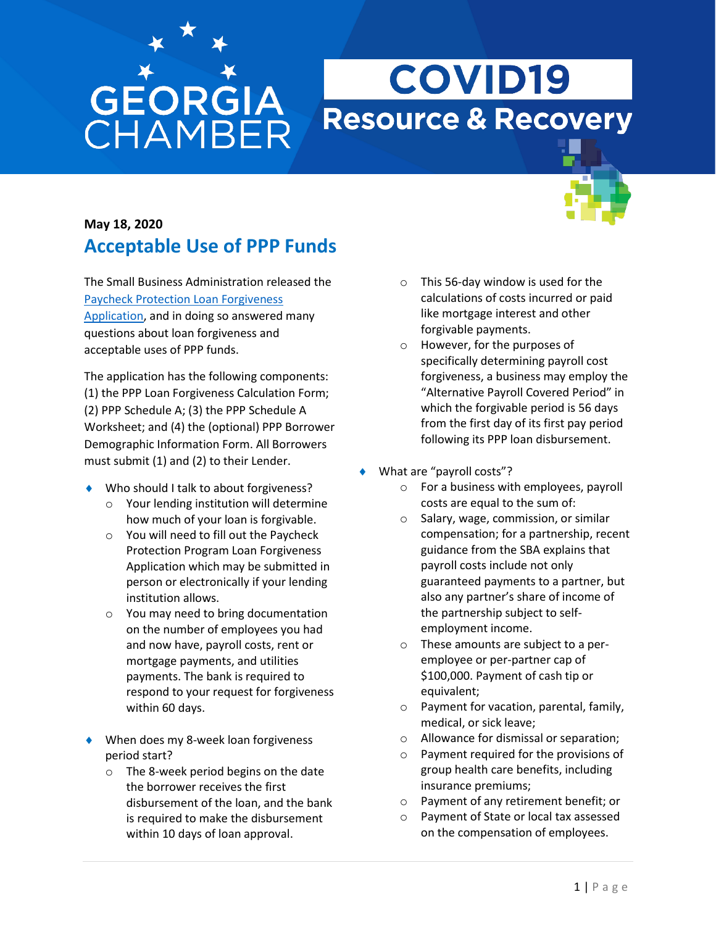## **GEORGIA**<br>CHAMBER

## **COVID19 Resource & Recovery**

## **May 18, 2020 Acceptable Use of PPP Funds**

The Small Business Administration released the [Paycheck Protection Loan Forgiveness](https://content.sba.gov/sites/default/files/2020-05/3245-0407%20SBA%20Form%203508%20PPP%20Forgiveness%20Application.pdf)  [Application,](https://content.sba.gov/sites/default/files/2020-05/3245-0407%20SBA%20Form%203508%20PPP%20Forgiveness%20Application.pdf) and in doing so answered many questions about loan forgiveness and acceptable uses of PPP funds.

The application has the following components: (1) the PPP Loan Forgiveness Calculation Form; (2) PPP Schedule A; (3) the PPP Schedule A Worksheet; and (4) the (optional) PPP Borrower Demographic Information Form. All Borrowers must submit (1) and (2) to their Lender.

- ◆ Who should I talk to about forgiveness?
	- o Your lending institution will determine how much of your loan is forgivable.
	- o You will need to fill out the Paycheck Protection Program Loan Forgiveness Application which may be submitted in person or electronically if your lending institution allows.
	- o You may need to bring documentation on the number of employees you had and now have, payroll costs, rent or mortgage payments, and utilities payments. The bank is required to respond to your request for forgiveness within 60 days.
- ◆ When does my 8-week loan forgiveness period start?
	- o The 8-week period begins on the date the borrower receives the first disbursement of the loan, and the bank is required to make the disbursement within 10 days of loan approval.
- o This 56-day window is used for the calculations of costs incurred or paid like mortgage interest and other forgivable payments.
- o However, for the purposes of specifically determining payroll cost forgiveness, a business may employ the "Alternative Payroll Covered Period" in which the forgivable period is 56 days from the first day of its first pay period following its PPP loan disbursement.
- What are "payroll costs"?
	- o For a business with employees, payroll costs are equal to the sum of:
	- o Salary, wage, commission, or similar compensation; for a partnership, recent guidance from the SBA explains that payroll costs include not only guaranteed payments to a partner, but also any partner's share of income of the partnership subject to selfemployment income.
	- o These amounts are subject to a peremployee or per-partner cap of \$100,000. Payment of cash tip or equivalent;
	- o Payment for vacation, parental, family, medical, or sick leave;
	- o Allowance for dismissal or separation;
	- o Payment required for the provisions of group health care benefits, including insurance premiums;
	- o Payment of any retirement benefit; or
	- o Payment of State or local tax assessed on the compensation of employees.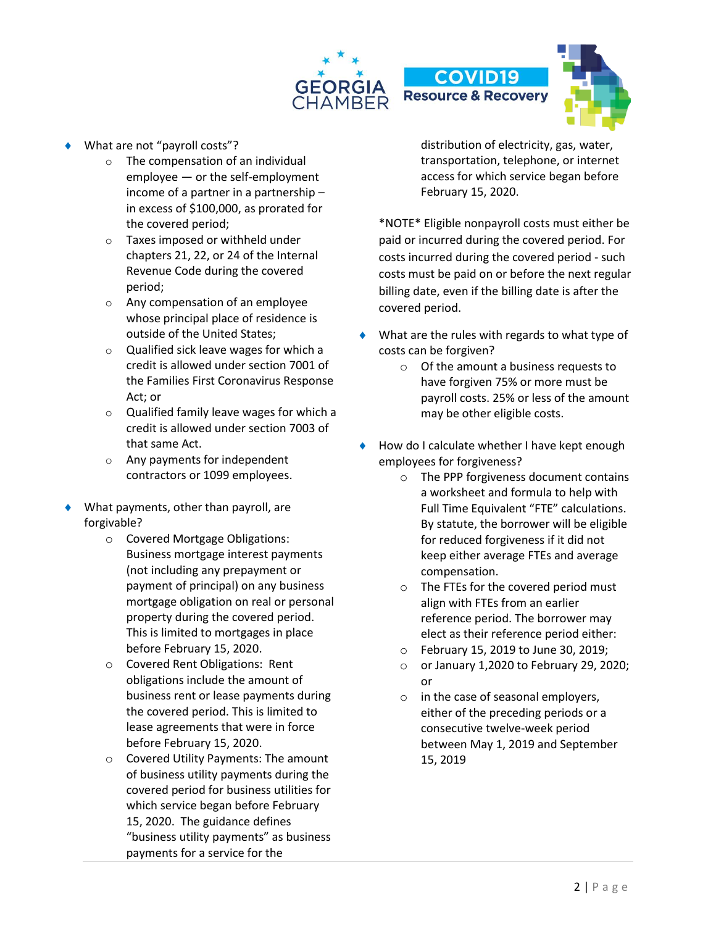

- What are not "payroll costs"?
	- o The compensation of an individual employee — or the self-employment income of a partner in a partnership – in excess of \$100,000, as prorated for the covered period;
	- o Taxes imposed or withheld under chapters 21, 22, or 24 of the Internal Revenue Code during the covered period;
	- o Any compensation of an employee whose principal place of residence is outside of the United States;
	- o Qualified sick leave wages for which a credit is allowed under section 7001 of the Families First Coronavirus Response Act; or
	- o Qualified family leave wages for which a credit is allowed under section 7003 of that same Act.
	- o Any payments for independent contractors or 1099 employees.
- What payments, other than payroll, are forgivable?
	- o Covered Mortgage Obligations: Business mortgage interest payments (not including any prepayment or payment of principal) on any business mortgage obligation on real or personal property during the covered period. This is limited to mortgages in place before February 15, 2020.
	- o Covered Rent Obligations: Rent obligations include the amount of business rent or lease payments during the covered period. This is limited to lease agreements that were in force before February 15, 2020.
	- o Covered Utility Payments: The amount of business utility payments during the covered period for business utilities for which service began before February 15, 2020. The guidance defines "business utility payments" as business payments for a service for the

distribution of electricity, gas, water, transportation, telephone, or internet access for which service began before February 15, 2020.

\*NOTE\* Eligible nonpayroll costs must either be paid or incurred during the covered period. For costs incurred during the covered period - such costs must be paid on or before the next regular billing date, even if the billing date is after the covered period.

- What are the rules with regards to what type of costs can be forgiven?
	- o Of the amount a business requests to have forgiven 75% or more must be payroll costs. 25% or less of the amount may be other eligible costs.
- How do I calculate whether I have kept enough employees for forgiveness?
	- o The PPP forgiveness document contains a worksheet and formula to help with Full Time Equivalent "FTE" calculations. By statute, the borrower will be eligible for reduced forgiveness if it did not keep either average FTEs and average compensation.
	- o The FTEs for the covered period must align with FTEs from an earlier reference period. The borrower may elect as their reference period either:
	- o February 15, 2019 to June 30, 2019;
	- o or January 1,2020 to February 29, 2020; or
	- o in the case of seasonal employers, either of the preceding periods or a consecutive twelve-week period between May 1, 2019 and September 15, 2019